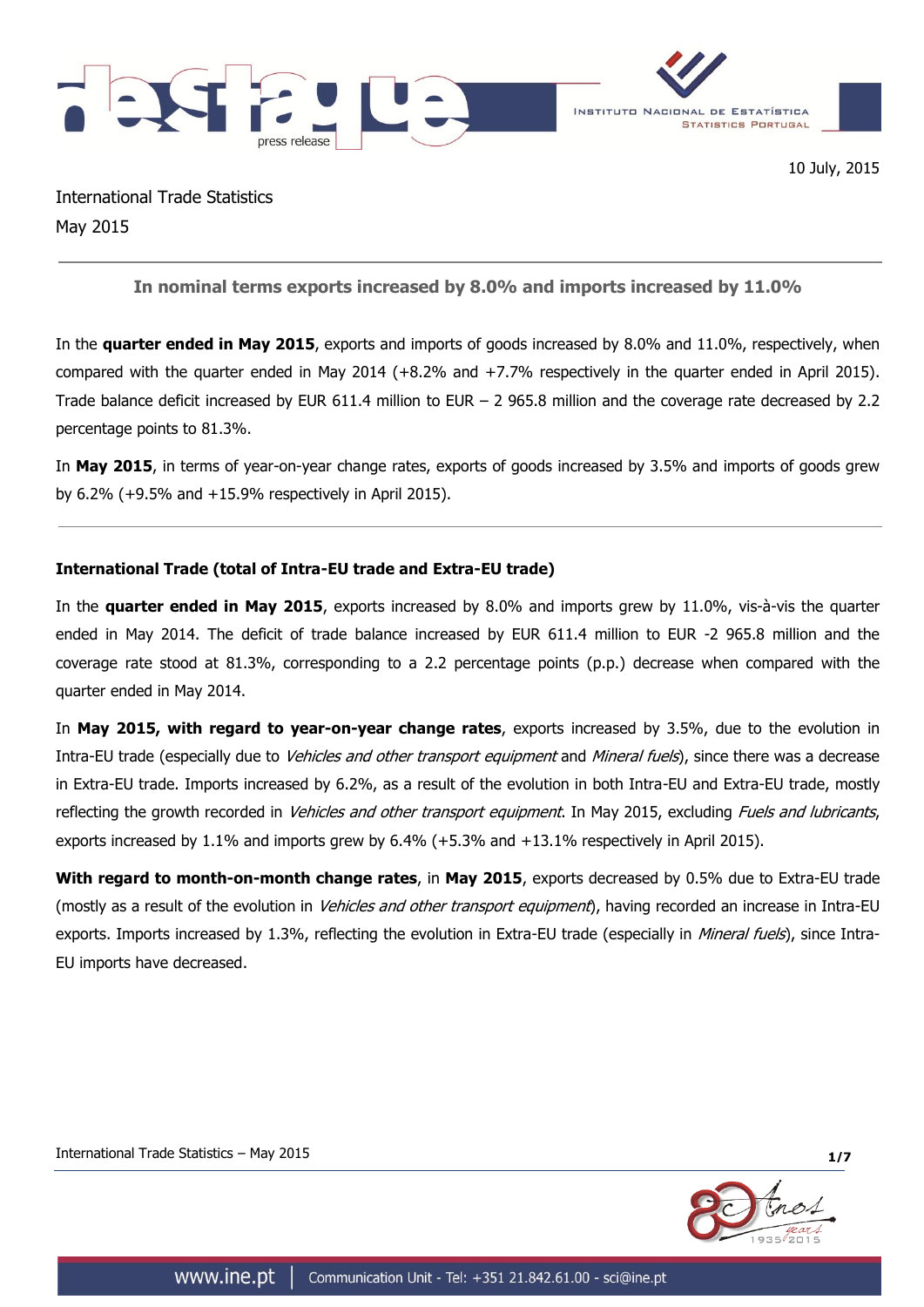

International Trade Statistics May 2015

**In nominal terms exports increased by 8.0% and imports increased by 11.0%**

In the **quarter ended in May 2015**, exports and imports of goods increased by 8.0% and 11.0%, respectively, when compared with the quarter ended in May 2014 (+8.2% and +7.7% respectively in the quarter ended in April 2015). Trade balance deficit increased by EUR 611.4 million to EUR – 2 965.8 million and the coverage rate decreased by 2.2 percentage points to 81.3%.

In **May 2015**, in terms of year-on-year change rates, exports of goods increased by 3.5% and imports of goods grew by 6.2% (+9.5% and +15.9% respectively in April 2015).

# **International Trade (total of Intra-EU trade and Extra-EU trade)**

In the **quarter ended in May 2015**, exports increased by 8.0% and imports grew by 11.0%, vis-à-vis the quarter ended in May 2014. The deficit of trade balance increased by EUR 611.4 million to EUR -2 965.8 million and the coverage rate stood at 81.3%, corresponding to a 2.2 percentage points (p.p.) decrease when compared with the quarter ended in May 2014.

In **May 2015, with regard to year-on-year change rates**, exports increased by 3.5%, due to the evolution in Intra-EU trade (especially due to *Vehicles and other transport equipment* and *Mineral fuels*), since there was a decrease in Extra-EU trade. Imports increased by 6.2%, as a result of the evolution in both Intra-EU and Extra-EU trade, mostly reflecting the growth recorded in *Vehicles and other transport equipment*. In May 2015, excluding *Fuels and lubricants*, exports increased by 1.1% and imports grew by 6.4% (+5.3% and +13.1% respectively in April 2015).

**With regard to month-on-month change rates**, in **May 2015**, exports decreased by 0.5% due to Extra-EU trade (mostly as a result of the evolution in *Vehicles and other transport equipment*), having recorded an increase in Intra-EU exports. Imports increased by 1.3%, reflecting the evolution in Extra-EU trade (especially in *Mineral fuels*), since Intra-EU imports have decreased.



International Trade Statistics – May 2015 **1/7**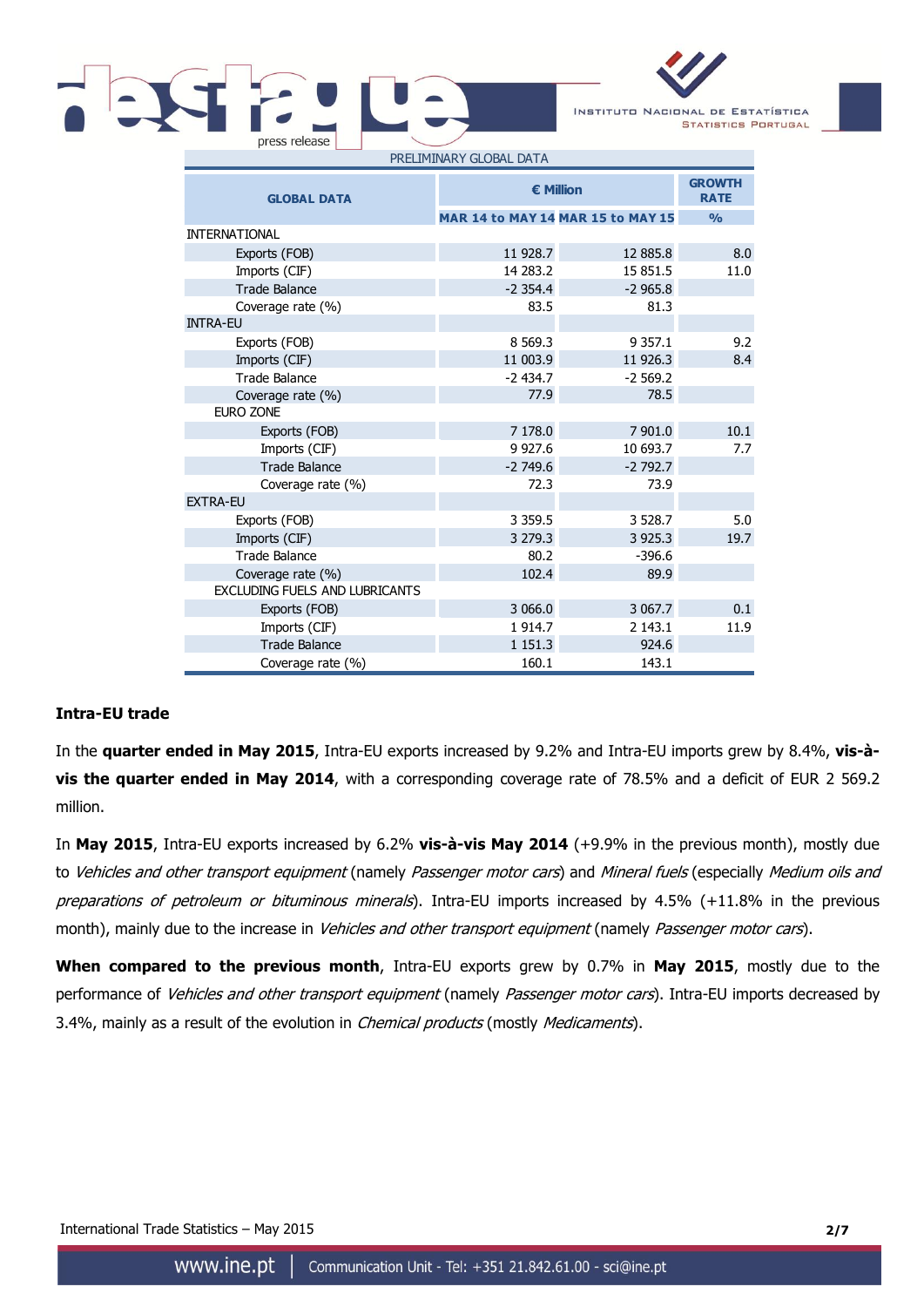

| <b>GLOBAL DATA</b>                    | <b>€ Million</b>                  | <b>GROWTH</b><br><b>RATE</b> |      |
|---------------------------------------|-----------------------------------|------------------------------|------|
|                                       | MAR 14 to MAY 14 MAR 15 to MAY 15 | $\frac{0}{0}$                |      |
| <b>INTERNATIONAL</b>                  |                                   |                              |      |
| Exports (FOB)                         | 11 928.7                          | 12 885.8                     | 8.0  |
| Imports (CIF)                         | 14 283.2                          | 15 851.5                     | 11.0 |
| <b>Trade Balance</b>                  | $-2.354.4$                        | $-2965.8$                    |      |
| Coverage rate (%)                     | 83.5                              | 81.3                         |      |
| <b>INTRA-EU</b>                       |                                   |                              |      |
| Exports (FOB)                         | 8 5 6 9 . 3                       | 9 3 5 7 . 1                  | 9.2  |
| Imports (CIF)                         | 11 003.9                          | 11 926.3                     | 8.4  |
| <b>Trade Balance</b>                  | $-2434.7$                         | $-2569.2$                    |      |
| Coverage rate (%)                     | 77.9                              | 78.5                         |      |
| <b>EURO ZONE</b>                      |                                   |                              |      |
| Exports (FOB)                         | 7 178.0                           | 7 901.0                      | 10.1 |
| Imports (CIF)                         | 9 9 27.6                          | 10 693.7                     | 7.7  |
| <b>Trade Balance</b>                  | $-2749.6$                         | $-2792.7$                    |      |
| Coverage rate (%)                     | 72.3                              | 73.9                         |      |
| <b>EXTRA-EU</b>                       |                                   |                              |      |
| Exports (FOB)                         | 3 3 5 9.5                         | 3 5 28.7                     | 5.0  |
| Imports (CIF)                         | 3 279.3                           | 3 9 2 5 . 3                  | 19.7 |
| <b>Trade Balance</b>                  | 80.2                              | $-396.6$                     |      |
| Coverage rate (%)                     | 102.4                             | 89.9                         |      |
| <b>EXCLUDING FUELS AND LUBRICANTS</b> |                                   |                              |      |
| Exports (FOB)                         | 3 066.0                           | 3 067.7                      | 0.1  |
| Imports (CIF)                         | 1914.7                            | 2 143.1                      | 11.9 |
| <b>Trade Balance</b>                  | 1 1 5 1 . 3                       | 924.6                        |      |
| Coverage rate (%)                     | 160.1                             | 143.1                        |      |

## **Intra-EU trade**

In the **quarter ended in May 2015**, Intra-EU exports increased by 9.2% and Intra-EU imports grew by 8.4%, **vis-àvis the quarter ended in May 2014**, with a corresponding coverage rate of 78.5% and a deficit of EUR 2 569.2 million.

In **May 2015**, Intra-EU exports increased by 6.2% **vis-à-vis May 2014** (+9.9% in the previous month), mostly due to Vehicles and other transport equipment (namely Passenger motor cars) and Mineral fuels (especially Medium oils and preparations of petroleum or bituminous minerals). Intra-EU imports increased by 4.5% (+11.8% in the previous month), mainly due to the increase in Vehicles and other transport equipment (namely Passenger motor cars).

**When compared to the previous month**, Intra-EU exports grew by 0.7% in **May 2015**, mostly due to the performance of Vehicles and other transport equipment (namely Passenger motor cars). Intra-EU imports decreased by 3.4%, mainly as a result of the evolution in *Chemical products* (mostly *Medicaments*).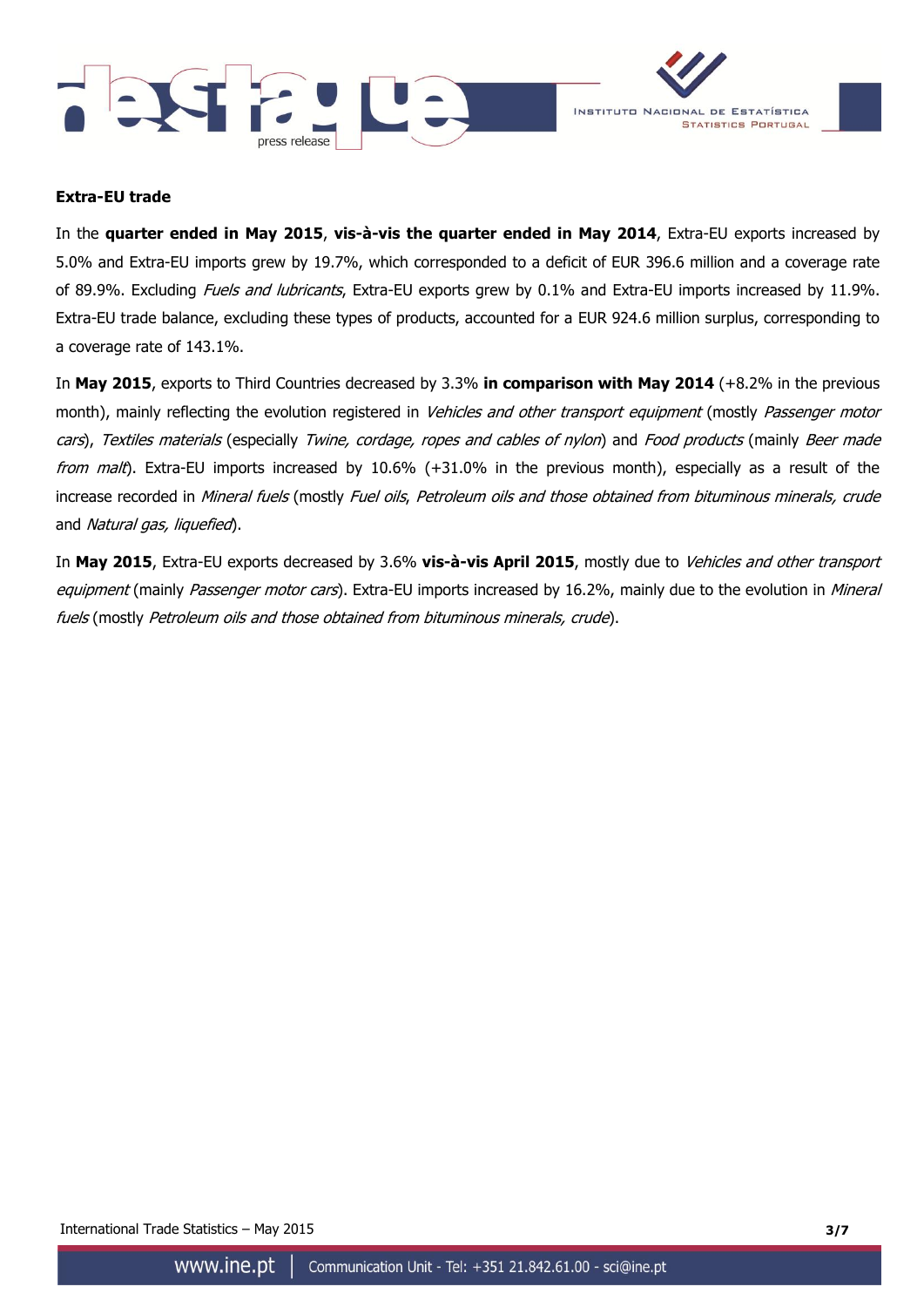



### **Extra-EU trade**

In the **quarter ended in May 2015**, **vis-à-vis the quarter ended in May 2014**, Extra-EU exports increased by 5.0% and Extra-EU imports grew by 19.7%, which corresponded to a deficit of EUR 396.6 million and a coverage rate of 89.9%. Excluding Fuels and lubricants, Extra-EU exports grew by 0.1% and Extra-EU imports increased by 11.9%. Extra-EU trade balance, excluding these types of products, accounted for a EUR 924.6 million surplus, corresponding to a coverage rate of 143.1%.

In **May 2015**, exports to Third Countries decreased by 3.3% **in comparison with May 2014** (+8.2% in the previous month), mainly reflecting the evolution registered in Vehicles and other transport equipment (mostly Passenger motor cars), Textiles materials (especially Twine, cordage, ropes and cables of nylon) and Food products (mainly Beer made from malt). Extra-EU imports increased by 10.6%  $(+31.0\%$  in the previous month), especially as a result of the increase recorded in Mineral fuels (mostly Fuel oils, Petroleum oils and those obtained from bituminous minerals, crude and Natural gas, liquefied).

In **May 2015**, Extra-EU exports decreased by 3.6% **vis-à-vis April 2015**, mostly due to Vehicles and other transport equipment (mainly Passenger motor cars). Extra-EU imports increased by 16.2%, mainly due to the evolution in Mineral fuels (mostly Petroleum oils and those obtained from bituminous minerals, crude).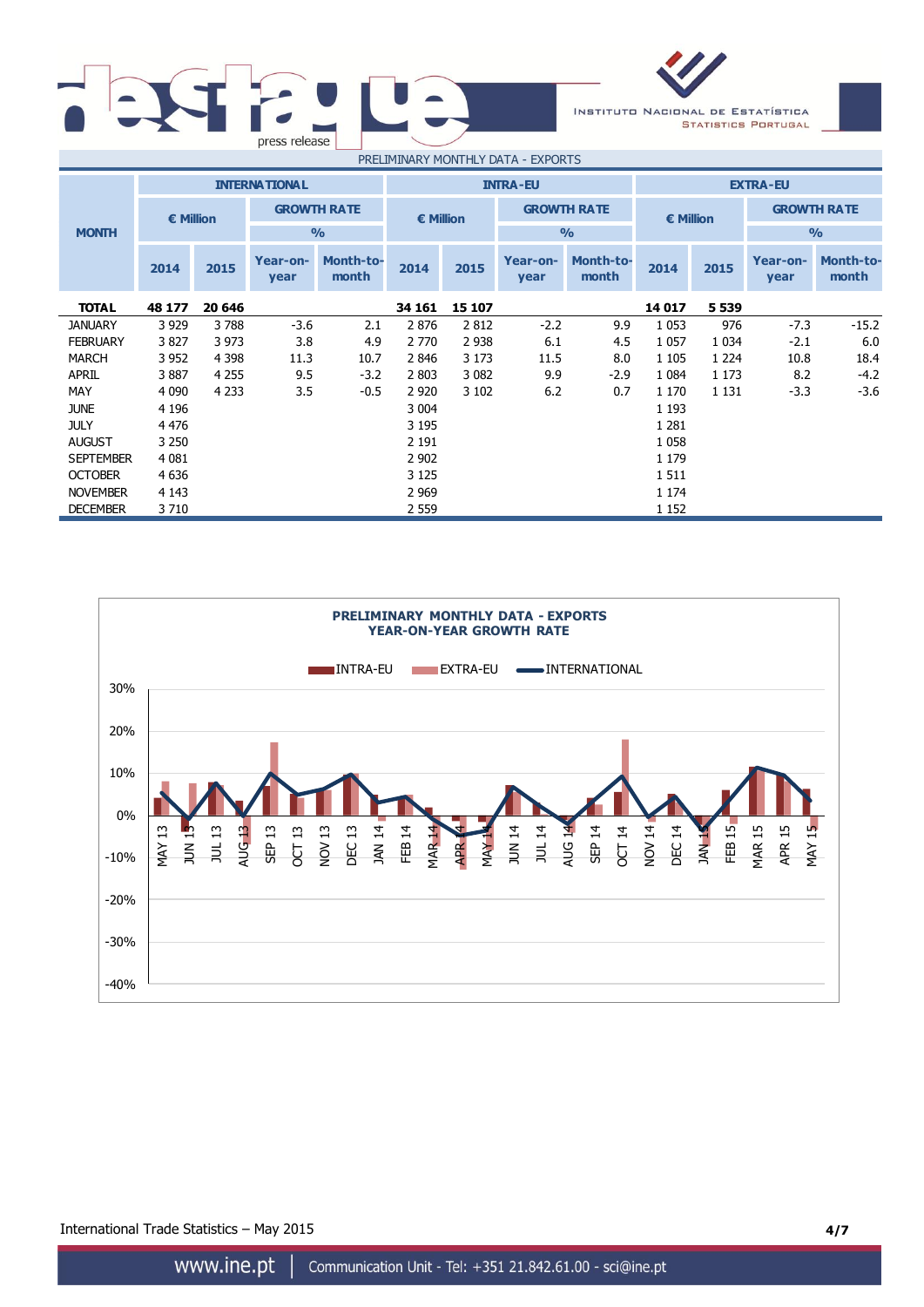| press release |                              |          |
|---------------|------------------------------|----------|
|               | DOEL TATAIA DV MONEU IV DATA | $\Gamma$ |



| PRELIMINARY MONTHLY DATA - EXPORTS |           |         |                      |                           |                                                  |         |                  |                           |               |         |                  |                           |  |
|------------------------------------|-----------|---------|----------------------|---------------------------|--------------------------------------------------|---------|------------------|---------------------------|---------------|---------|------------------|---------------------------|--|
|                                    |           |         | <b>INTERNATIONAL</b> |                           | <b>INTRA-EU</b>                                  |         |                  | <b>EXTRA-EU</b>           |               |         |                  |                           |  |
|                                    | € Million |         |                      | <b>GROWTH RATE</b>        | <b>GROWTH RATE</b><br>€ Million<br>$\frac{0}{0}$ |         |                  |                           | € Million     |         |                  | <b>GROWTH RATE</b>        |  |
| <b>MONTH</b>                       |           |         |                      | $\frac{0}{0}$             |                                                  |         |                  |                           | $\frac{1}{2}$ |         |                  |                           |  |
|                                    | 2014      | 2015    | Year-on-<br>year     | <b>Month-to-</b><br>month | 2014                                             | 2015    | Year-on-<br>year | <b>Month-to-</b><br>month | 2014          | 2015    | Year-on-<br>year | <b>Month-to-</b><br>month |  |
| <b>TOTAL</b>                       | 48 177    | 20 646  |                      |                           | 34 161                                           | 15 107  |                  |                           | 14 017        | 5 5 3 9 |                  |                           |  |
| <b>JANUARY</b>                     | 3 9 2 9   | 3788    | $-3.6$               | 2.1                       | 2876                                             | 2812    | $-2.2$           | 9.9                       | 1 0 5 3       | 976     | $-7.3$           | $-15.2$                   |  |
| <b>FEBRUARY</b>                    | 3827      | 3 9 7 3 | 3.8                  | 4.9                       | 2 770                                            | 2 9 3 8 | 6.1              | 4.5                       | 1 0 5 7       | 1 0 3 4 | $-2.1$           | 6.0                       |  |
| <b>MARCH</b>                       | 3 9 5 2   | 4 3 9 8 | 11.3                 | 10.7                      | 2846                                             | 3 1 7 3 | 11.5             | 8.0                       | 1 1 0 5       | 1 2 2 4 | 10.8             | 18.4                      |  |
| <b>APRIL</b>                       | 3887      | 4 2 5 5 | 9.5                  | $-3.2$                    | 2 8 0 3                                          | 3 0 8 2 | 9.9              | $-2.9$                    | 1 0 8 4       | 1 1 7 3 | 8.2              | $-4.2$                    |  |
| <b>MAY</b>                         | 4 0 9 0   | 4 2 3 3 | 3.5                  | $-0.5$                    | 2 9 2 0                                          | 3 102   | 6.2              | 0.7                       | 1 1 7 0       | 1 1 3 1 | $-3.3$           | $-3.6$                    |  |
| <b>JUNE</b>                        | 4 1 9 6   |         |                      |                           | 3 0 0 4                                          |         |                  |                           | 1 1 9 3       |         |                  |                           |  |
| <b>JULY</b>                        | 4 4 7 6   |         |                      |                           | 3 1 9 5                                          |         |                  |                           | 1 2 8 1       |         |                  |                           |  |
| <b>AUGUST</b>                      | 3 2 5 0   |         |                      |                           | 2 1 9 1                                          |         |                  |                           | 1 0 5 8       |         |                  |                           |  |
| <b>SEPTEMBER</b>                   | 4 0 8 1   |         |                      |                           | 2 9 0 2                                          |         |                  |                           | 1 1 7 9       |         |                  |                           |  |
| <b>OCTOBER</b>                     | 4 6 3 6   |         |                      |                           | 3 1 2 5                                          |         |                  |                           | 1511          |         |                  |                           |  |
| <b>NOVEMBER</b>                    | 4 1 4 3   |         |                      |                           | 2 9 6 9                                          |         |                  |                           | 1 1 7 4       |         |                  |                           |  |
| <b>DECEMBER</b>                    | 3710      |         |                      |                           | 2 5 5 9                                          |         |                  |                           | 1 1 5 2       |         |                  |                           |  |



International Trade Statistics – May 2015 **4/7**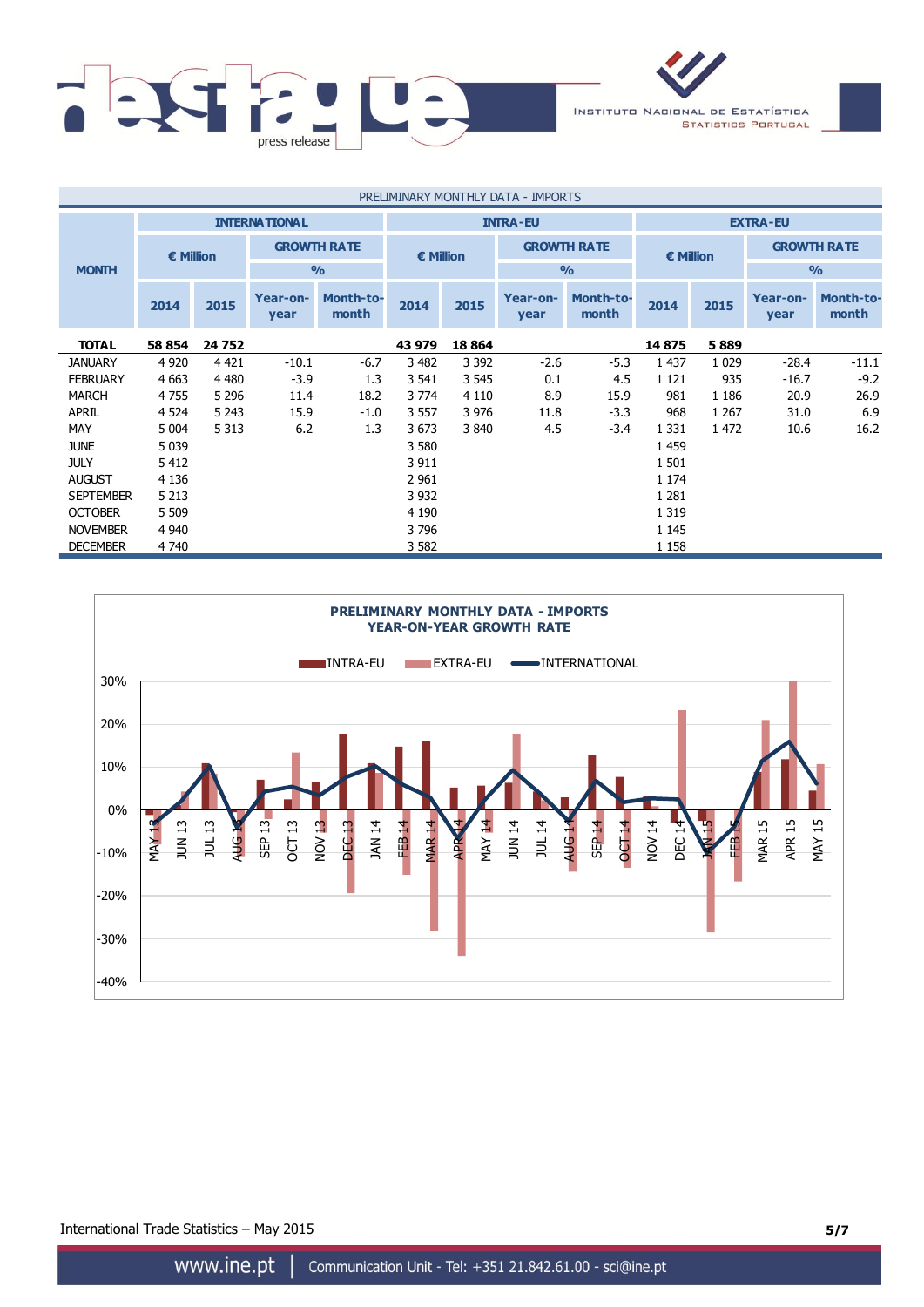

| PRELIMINARY MONTHLY DATA - IMPORTS |           |                                         |                    |                           |                                 |               |                  |                           |                    |                |                  |                    |
|------------------------------------|-----------|-----------------------------------------|--------------------|---------------------------|---------------------------------|---------------|------------------|---------------------------|--------------------|----------------|------------------|--------------------|
|                                    |           | <b>INTERNATIONAL</b><br><b>INTRA-EU</b> |                    |                           |                                 |               |                  | <b>EXTRA-EU</b>           |                    |                |                  |                    |
|                                    | € Million |                                         | <b>GROWTH RATE</b> |                           | <b>GROWTH RATE</b><br>€ Million |               |                  |                           | $\epsilon$ Million |                |                  | <b>GROWTH RATE</b> |
| <b>MONTH</b>                       |           |                                         |                    | $\frac{0}{0}$             |                                 | $\frac{0}{0}$ |                  |                           |                    | O <sub>0</sub> |                  |                    |
|                                    | 2014      | 2015                                    | Year-on-<br>year   | <b>Month-to-</b><br>month | 2014                            | 2015          | Year-on-<br>year | <b>Month-to-</b><br>month | 2014               | 2015           | Year-on-<br>year | Month-to-<br>month |
| <b>TOTAL</b>                       | 58 854    | 24 752                                  |                    |                           | 43 979                          | 18 8 64       |                  |                           | 14875              | 5889           |                  |                    |
| <b>JANUARY</b>                     | 4 9 2 0   | 4 4 2 1                                 | $-10.1$            | $-6.7$                    | 3 4 8 2                         | 3 3 9 2       | $-2.6$           | $-5.3$                    | 1 4 3 7            | 1 0 2 9        | $-28.4$          | $-11.1$            |
| <b>FEBRUARY</b>                    | 4 6 63    | 4 4 8 0                                 | $-3.9$             | 1.3                       | 3 5 4 1                         | 3 5 4 5       | 0.1              | 4.5                       | 1 1 2 1            | 935            | $-16.7$          | $-9.2$             |
| <b>MARCH</b>                       | 4755      | 5 2 9 6                                 | 11.4               | 18.2                      | 3 7 7 4                         | 4 1 1 0       | 8.9              | 15.9                      | 981                | 1 1 8 6        | 20.9             | 26.9               |
| <b>APRIL</b>                       | 4 5 24    | 5 2 4 3                                 | 15.9               | $-1.0$                    | 3 5 5 7                         | 3 9 7 6       | 11.8             | $-3.3$                    | 968                | 1 2 6 7        | 31.0             | 6.9                |
| MAY                                | 5 0 0 4   | 5 3 1 3                                 | 6.2                | 1.3                       | 3 6 7 3                         | 3 8 4 0       | 4.5              | $-3.4$                    | 1 3 3 1            | 1 472          | 10.6             | 16.2               |
| <b>JUNE</b>                        | 5 0 3 9   |                                         |                    |                           | 3 5 8 0                         |               |                  |                           | 1 4 5 9            |                |                  |                    |
| <b>JULY</b>                        | 5 4 1 2   |                                         |                    |                           | 3 9 1 1                         |               |                  |                           | 1 501              |                |                  |                    |
| <b>AUGUST</b>                      | 4 1 3 6   |                                         |                    |                           | 2 9 6 1                         |               |                  |                           | 1 1 7 4            |                |                  |                    |
| <b>SEPTEMBER</b>                   | 5 2 1 3   |                                         |                    |                           | 3 9 3 2                         |               |                  |                           | 1 2 8 1            |                |                  |                    |
| <b>OCTOBER</b>                     | 5 5 0 9   |                                         |                    |                           | 4 1 9 0                         |               |                  |                           | 1 3 1 9            |                |                  |                    |
| <b>NOVEMBER</b>                    | 4 9 4 0   |                                         |                    |                           | 3796                            |               |                  |                           | 1 1 4 5            |                |                  |                    |
| <b>DECEMBER</b>                    | 4 740     |                                         |                    |                           | 3 5 8 2                         |               |                  |                           | 1 1 5 8            |                |                  |                    |



International Trade Statistics – May 2015 **5/7**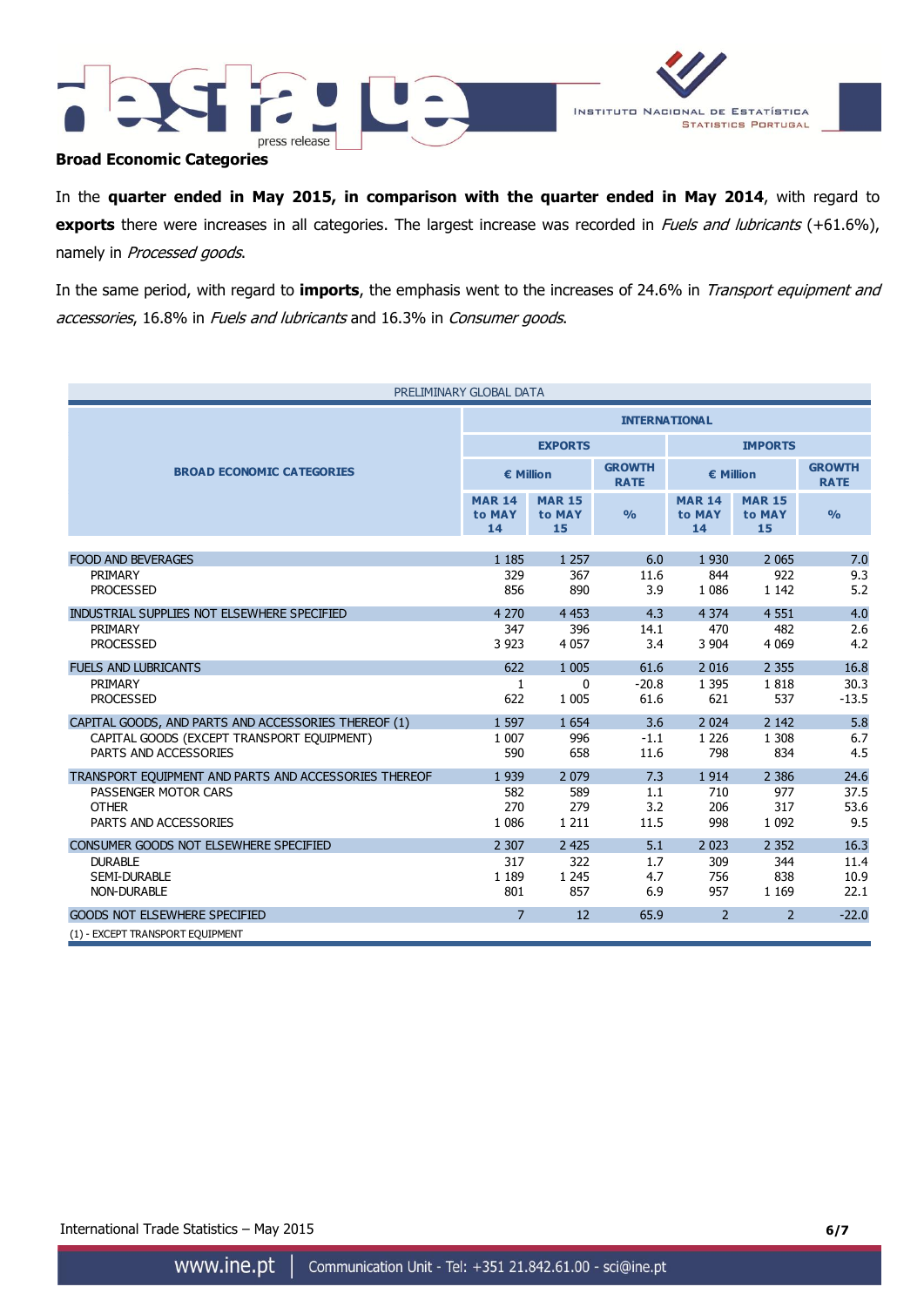



### **Broad Economic Categories**

In the **quarter ended in May 2015, in comparison with the quarter ended in May 2014**, with regard to **exports** there were increases in all categories. The largest increase was recorded in *Fuels and lubricants* (+61.6%), namely in Processed goods.

In the same period, with regard to **imports**, the emphasis went to the increases of 24.6% in Transport equipment and accessories, 16.8% in Fuels and lubricants and 16.3% in Consumer goods.

| PRELIMINARY GLOBAL DATA                               |                               |                               |                              |                               |                               |                              |  |
|-------------------------------------------------------|-------------------------------|-------------------------------|------------------------------|-------------------------------|-------------------------------|------------------------------|--|
|                                                       | <b>INTERNATIONAL</b>          |                               |                              |                               |                               |                              |  |
|                                                       |                               | <b>EXPORTS</b>                |                              | <b>IMPORTS</b>                |                               |                              |  |
| <b>BROAD ECONOMIC CATEGORIES</b>                      | € Million                     |                               | <b>GROWTH</b><br><b>RATE</b> | € Million                     |                               | <b>GROWTH</b><br><b>RATE</b> |  |
|                                                       | <b>MAR 14</b><br>to MAY<br>14 | <b>MAR 15</b><br>to MAY<br>15 | $\frac{9}{6}$                | <b>MAR 14</b><br>to MAY<br>14 | <b>MAR 15</b><br>to MAY<br>15 | $\frac{0}{0}$                |  |
|                                                       |                               |                               |                              |                               |                               |                              |  |
| <b>FOOD AND BEVERAGES</b>                             | 1 1 8 5                       | 1 2 5 7                       | 6.0                          | 1930                          | 2 0 6 5                       | 7.0                          |  |
| PRIMARY                                               | 329                           | 367                           | 11.6                         | 844                           | 922                           | 9.3                          |  |
| <b>PROCESSED</b>                                      | 856                           | 890                           | 3.9                          | 1 0 8 6                       | 1 1 4 2                       | 5.2                          |  |
| INDUSTRIAL SUPPLIES NOT ELSEWHERE SPECIFIED           | 4 2 7 0                       | 4 4 5 3                       | 4.3                          | 4 3 7 4                       | 4 5 5 1                       | 4.0                          |  |
| <b>PRIMARY</b>                                        | 347                           | 396                           | 14.1                         | 470                           | 482                           | 2.6                          |  |
| <b>PROCESSED</b>                                      | 3 9 2 3                       | 4 0 5 7                       | 3.4                          | 3 9 0 4                       | 4 0 6 9                       | 4.2                          |  |
| <b>FUELS AND LUBRICANTS</b>                           | 622                           | 1 0 0 5                       | 61.6                         | 2016                          | 2 3 5 5                       | 16.8                         |  |
| PRIMARY                                               | 1                             | $\mathbf{0}$                  | $-20.8$                      | 1 3 9 5                       | 1818                          | 30.3                         |  |
| <b>PROCESSED</b>                                      | 622                           | 1 0 0 5                       | 61.6                         | 621                           | 537                           | $-13.5$                      |  |
| CAPITAL GOODS, AND PARTS AND ACCESSORIES THEREOF (1)  | 1 5 9 7                       | 1 6 5 4                       | 3.6                          | 2024                          | 2 1 4 2                       | 5.8                          |  |
| CAPITAL GOODS (EXCEPT TRANSPORT EQUIPMENT)            | 1 0 0 7                       | 996                           | $-1.1$                       | 1 2 2 6                       | 1 3 0 8                       | 6.7                          |  |
| PARTS AND ACCESSORIES                                 | 590                           | 658                           | 11.6                         | 798                           | 834                           | 4.5                          |  |
| TRANSPORT EOUIPMENT AND PARTS AND ACCESSORIES THEREOF | 1939                          | 2 0 7 9                       | 7.3                          | 1914                          | 2 3 8 6                       | 24.6                         |  |
| PASSENGER MOTOR CARS                                  | 582                           | 589                           | 1.1                          | 710                           | 977                           | 37.5                         |  |
| <b>OTHER</b>                                          | 270                           | 279                           | 3.2                          | 206                           | 317                           | 53.6                         |  |
| PARTS AND ACCESSORIES                                 | 1 0 8 6                       | 1 2 1 1                       | 11.5                         | 998                           | 1 0 9 2                       | 9.5                          |  |
| CONSUMER GOODS NOT ELSEWHERE SPECIFIED                | 2 3 0 7                       | 2 4 2 5                       | 5.1                          | 2 0 2 3                       | 2 3 5 2                       | 16.3                         |  |
| <b>DURABLE</b>                                        | 317                           | 322                           | 1.7                          | 309                           | 344                           | 11.4                         |  |
| <b>SEMI-DURABLE</b>                                   | 1 1 8 9                       | 1 2 4 5                       | 4.7                          | 756                           | 838                           | 10.9                         |  |
| <b>NON-DURABLE</b>                                    | 801                           | 857                           | 6.9                          | 957                           | 1 1 6 9                       | 22.1                         |  |
| <b>GOODS NOT ELSEWHERE SPECIFIED</b>                  | $\overline{7}$                | 12                            | 65.9                         | $\overline{2}$                | $\overline{2}$                | $-22.0$                      |  |
| (1) - EXCEPT TRANSPORT EQUIPMENT                      |                               |                               |                              |                               |                               |                              |  |

International Trade Statistics – May 2015 **6/7**